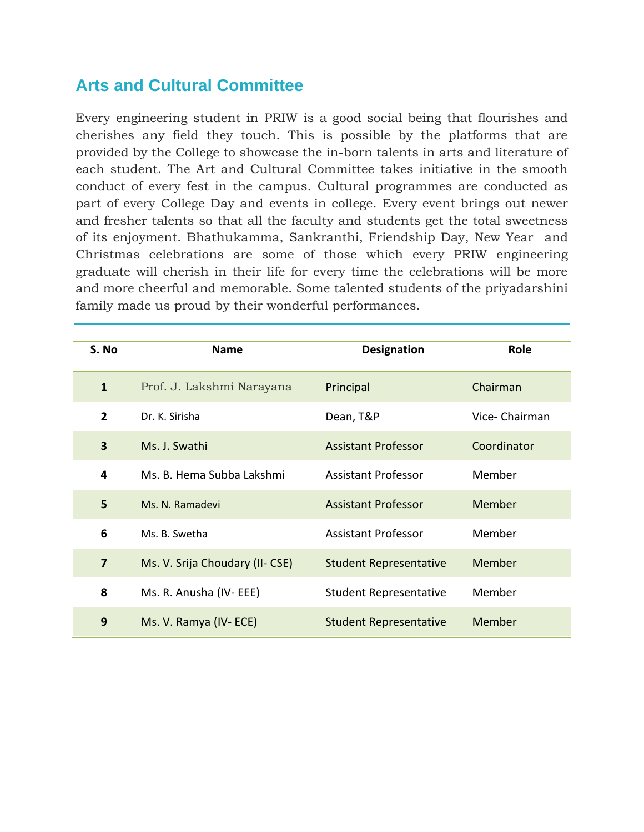### **Arts and Cultural Committee**

Every engineering student in PRIW is a good social being that flourishes and cherishes any field they touch. This is possible by the platforms that are provided by the College to showcase the in-born talents in arts and literature of each student. The Art and Cultural Committee takes initiative in the smooth conduct of every fest in the campus. Cultural programmes are conducted as part of every College Day and events in college. Every event brings out newer and fresher talents so that all the faculty and students get the total sweetness of its enjoyment. Bhathukamma, Sankranthi, Friendship Day, New Year and Christmas celebrations are some of those which every PRIW engineering graduate will cherish in their life for every time the celebrations will be more and more cheerful and memorable. Some talented students of the priyadarshini family made us proud by their wonderful performances.

| S. No          | <b>Name</b>                     | <b>Designation</b>            | Role           |
|----------------|---------------------------------|-------------------------------|----------------|
| $\mathbf{1}$   | Prof. J. Lakshmi Narayana       | Principal                     | Chairman       |
| $\overline{2}$ | Dr. K. Sirisha                  | Dean, T&P                     | Vice- Chairman |
| 3              | Ms. J. Swathi                   | <b>Assistant Professor</b>    | Coordinator    |
| 4              | Ms. B. Hema Subba Lakshmi       | <b>Assistant Professor</b>    | Member         |
| 5              | Ms. N. Ramadevi                 | <b>Assistant Professor</b>    | Member         |
| 6              | Ms. B. Swetha                   | <b>Assistant Professor</b>    | Member         |
| $\overline{7}$ | Ms. V. Srija Choudary (II- CSE) | <b>Student Representative</b> | Member         |
| 8              | Ms. R. Anusha (IV-EEE)          | <b>Student Representative</b> | Member         |
| 9              | Ms. V. Ramya (IV-ECE)           | <b>Student Representative</b> | Member         |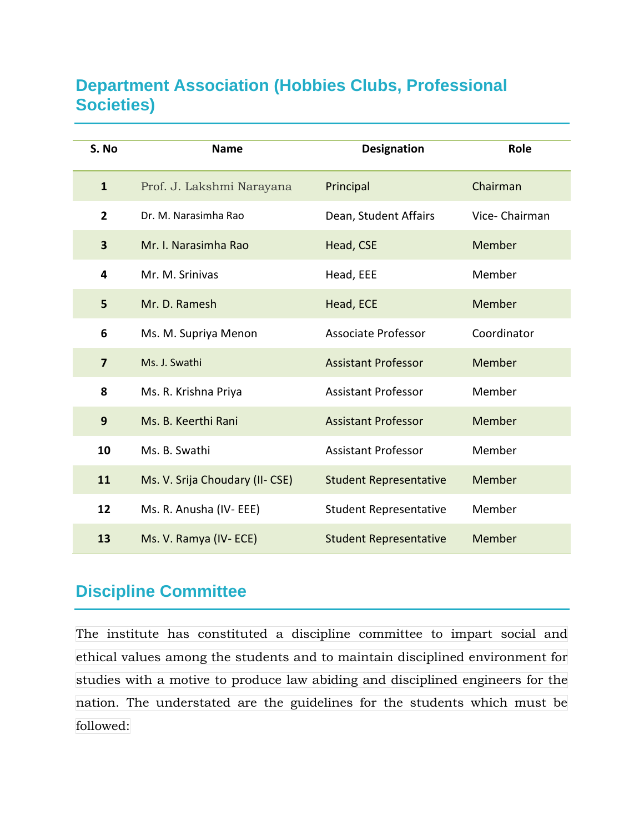### **Department Association (Hobbies Clubs, Professional Societies)**

| S. No          | <b>Name</b>                     | <b>Designation</b>            | Role          |
|----------------|---------------------------------|-------------------------------|---------------|
| $\mathbf{1}$   | Prof. J. Lakshmi Narayana       | Principal                     | Chairman      |
| $\overline{2}$ | Dr. M. Narasimha Rao            | Dean, Student Affairs         | Vice-Chairman |
| 3              | Mr. I. Narasimha Rao            | Head, CSE                     | Member        |
| 4              | Mr. M. Srinivas                 | Head, EEE                     | Member        |
| 5              | Mr. D. Ramesh                   | Head, ECE                     | Member        |
| 6              | Ms. M. Supriya Menon            | <b>Associate Professor</b>    | Coordinator   |
| $\overline{7}$ | Ms. J. Swathi                   | <b>Assistant Professor</b>    | Member        |
| 8              | Ms. R. Krishna Priya            | <b>Assistant Professor</b>    | Member        |
| 9              | Ms. B. Keerthi Rani             | <b>Assistant Professor</b>    | Member        |
| 10             | Ms. B. Swathi                   | <b>Assistant Professor</b>    | Member        |
| 11             | Ms. V. Srija Choudary (II- CSE) | <b>Student Representative</b> | <b>Member</b> |
| 12             | Ms. R. Anusha (IV-EEE)          | <b>Student Representative</b> | Member        |
| 13             | Ms. V. Ramya (IV-ECE)           | <b>Student Representative</b> | Member        |

### **Discipline Committee**

The institute has constituted a discipline committee to impart social and ethical values among the students and to maintain disciplined environment for studies with a motive to produce law abiding and disciplined engineers for the nation. The understated are the guidelines for the students which must be followed: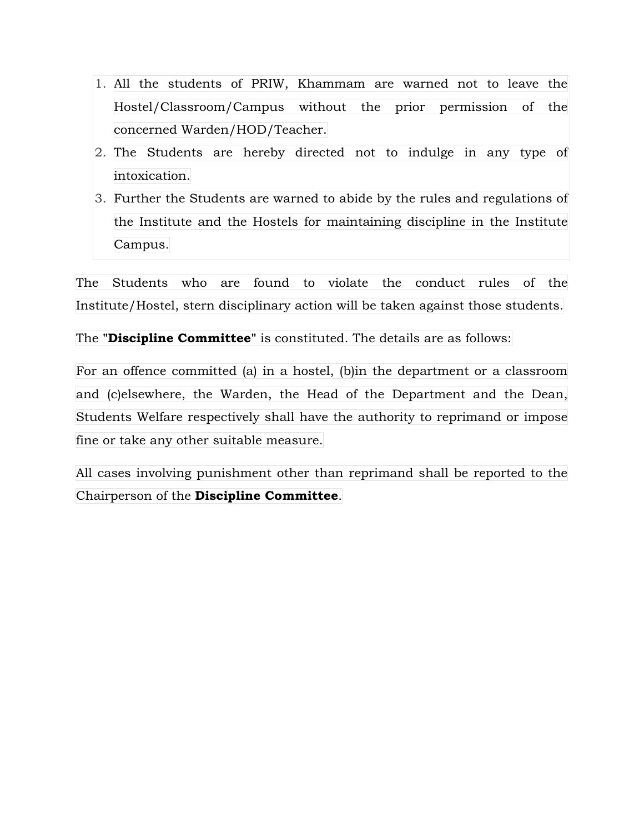- 1. All the students of PRIW, Khammam are warned not to leave the Hostel/Classroom/Campus without the prior permission of the concerned Warden/HOD/Teacher.
- 2. The Students are hereby directed not to indulge in any type of intoxication.
- 3. Further the Students are warned to abide by the rules and regulations of the Institute and the Hostels for maintaining discipline in the Institute Campus.

The Students who are found to violate the conduct rules of the Institute/Hostel, stern disciplinary action will be taken against those students.

The **"Discipline Committee"** is constituted. The details are as follows:

For an offence committed (a) in a hostel, (b)in the department or a classroom and (c)elsewhere, the Warden, the Head of the Department and the Dean, Students Welfare respectively shall have the authority to reprimand or impose fine or take any other suitable measure.

All cases involving punishment other than reprimand shall be reported to the Chairperson of the **Discipline Committee**.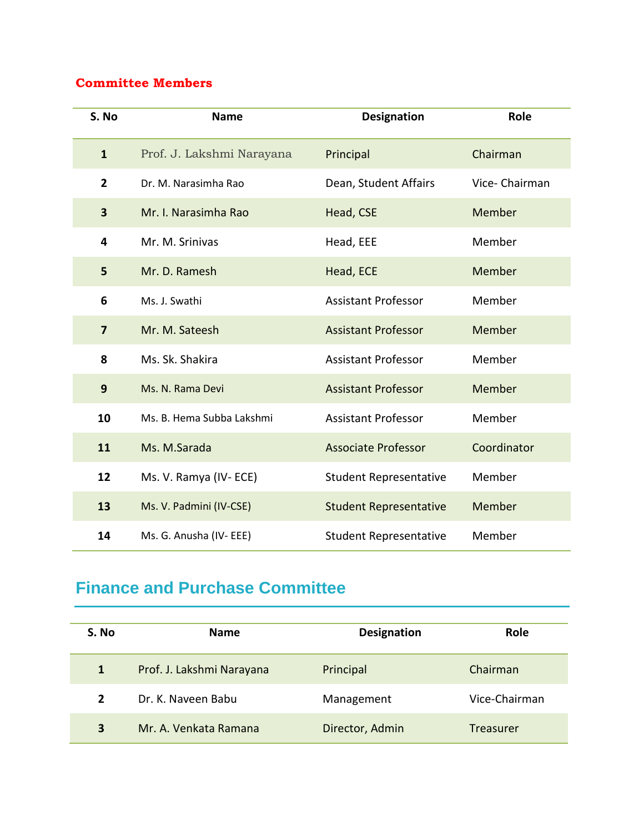#### **Committee Members**

| S. No                   | <b>Name</b>               | <b>Designation</b>            | Role          |
|-------------------------|---------------------------|-------------------------------|---------------|
| $\mathbf{1}$            | Prof. J. Lakshmi Narayana | Principal                     | Chairman      |
| $\overline{2}$          | Dr. M. Narasimha Rao      | Dean, Student Affairs         | Vice-Chairman |
| 3                       | Mr. I. Narasimha Rao      | Head, CSE                     | Member        |
| 4                       | Mr. M. Srinivas           | Head, EEE                     | Member        |
| 5                       | Mr. D. Ramesh             | Head, ECE                     | Member        |
| 6                       | Ms. J. Swathi             | <b>Assistant Professor</b>    | Member        |
| $\overline{\mathbf{z}}$ | Mr. M. Sateesh            | <b>Assistant Professor</b>    | Member        |
| 8                       | Ms. Sk. Shakira           | <b>Assistant Professor</b>    | Member        |
| 9                       | Ms. N. Rama Devi          | <b>Assistant Professor</b>    | Member        |
| 10                      | Ms. B. Hema Subba Lakshmi | <b>Assistant Professor</b>    | Member        |
| 11                      | Ms. M.Sarada              | <b>Associate Professor</b>    | Coordinator   |
| 12                      | Ms. V. Ramya (IV-ECE)     | <b>Student Representative</b> | Member        |
| 13                      | Ms. V. Padmini (IV-CSE)   | <b>Student Representative</b> | Member        |
| 14                      | Ms. G. Anusha (IV- EEE)   | <b>Student Representative</b> | Member        |

## **Finance and Purchase Committee**

| S. No                   | <b>Name</b>               | <b>Designation</b> | <b>Role</b>   |
|-------------------------|---------------------------|--------------------|---------------|
| $\mathbf{1}$            | Prof. J. Lakshmi Narayana | Principal          | Chairman      |
| 2                       | Dr. K. Naveen Babu        | Management         | Vice-Chairman |
| $\overline{\mathbf{3}}$ | Mr. A. Venkata Ramana     | Director, Admin    | Treasurer     |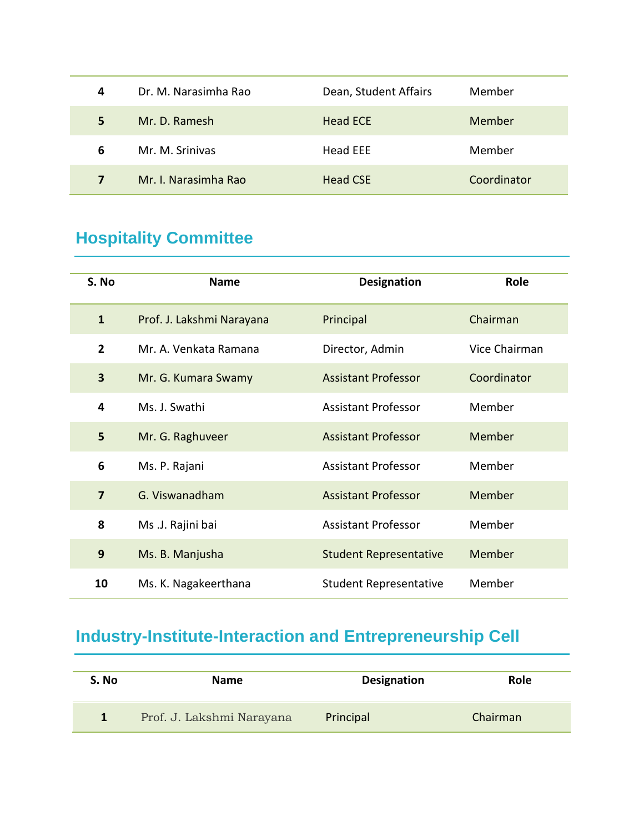| 4 | Dr. M. Narasimha Rao | Dean, Student Affairs | Member      |
|---|----------------------|-----------------------|-------------|
| 5 | Mr. D. Ramesh        | <b>Head ECE</b>       | Member      |
| 6 | Mr. M. Srinivas      | Head EEE              | Member      |
| 7 | Mr. I. Narasimha Rao | <b>Head CSE</b>       | Coordinator |

# **Hospitality Committee**

| S. No          | <b>Name</b>               | <b>Designation</b>            | Role          |
|----------------|---------------------------|-------------------------------|---------------|
| $\mathbf{1}$   | Prof. J. Lakshmi Narayana | Principal                     | Chairman      |
| $\overline{2}$ | Mr. A. Venkata Ramana     | Director, Admin               | Vice Chairman |
| 3              | Mr. G. Kumara Swamy       | <b>Assistant Professor</b>    | Coordinator   |
| 4              | Ms. J. Swathi             | <b>Assistant Professor</b>    | Member        |
| 5              | Mr. G. Raghuveer          | <b>Assistant Professor</b>    | Member        |
| 6              | Ms. P. Rajani             | <b>Assistant Professor</b>    | Member        |
| $\overline{7}$ | G. Viswanadham            | <b>Assistant Professor</b>    | Member        |
| 8              | Ms .J. Rajini bai         | <b>Assistant Professor</b>    | Member        |
| 9              | Ms. B. Manjusha           | <b>Student Representative</b> | Member        |
| 10             | Ms. K. Nagakeerthana      | <b>Student Representative</b> | Member        |

# **Industry-Institute-Interaction and Entrepreneurship Cell**

| S. No | <b>Name</b>               | <b>Designation</b> | Role     |
|-------|---------------------------|--------------------|----------|
|       | Prof. J. Lakshmi Narayana | Principal          | Chairman |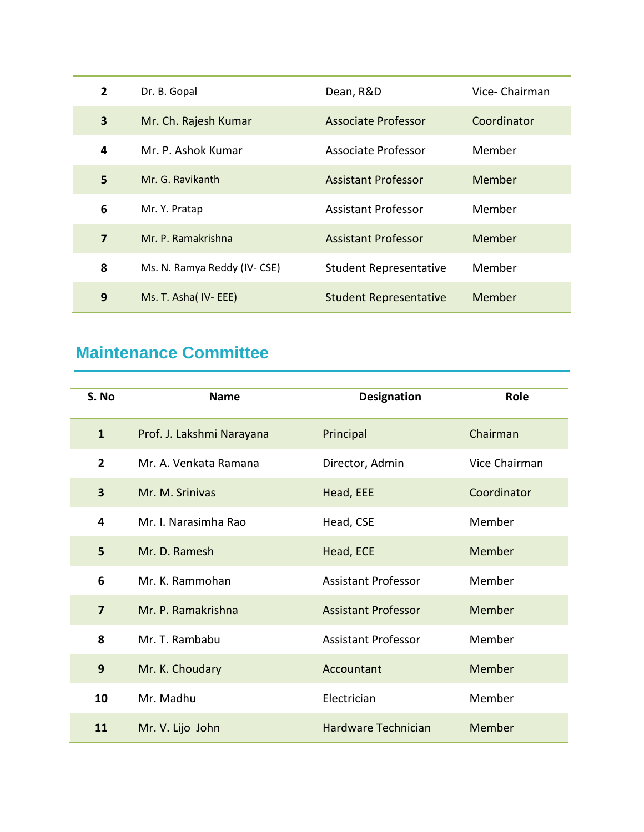| $\overline{2}$ | Dr. B. Gopal                | Dean, R&D                     | Vice-Chairman |
|----------------|-----------------------------|-------------------------------|---------------|
| 3              | Mr. Ch. Rajesh Kumar        | <b>Associate Professor</b>    | Coordinator   |
| 4              | Mr. P. Ashok Kumar          | <b>Associate Professor</b>    | Member        |
| 5              | Mr. G. Ravikanth            | <b>Assistant Professor</b>    | Member        |
| 6              | Mr. Y. Pratap               | <b>Assistant Professor</b>    | Member        |
| $\overline{7}$ | Mr. P. Ramakrishna          | <b>Assistant Professor</b>    | Member        |
| 8              | Ms. N. Ramya Reddy (IV-CSE) | <b>Student Representative</b> | Member        |
| 9              | Ms. T. Asha( IV- EEE)       | <b>Student Representative</b> | Member        |

## **Maintenance Committee**

| S. No                   | <b>Name</b>               | <b>Designation</b>         | Role          |
|-------------------------|---------------------------|----------------------------|---------------|
| $\mathbf{1}$            | Prof. J. Lakshmi Narayana | Principal                  | Chairman      |
| $\overline{2}$          | Mr. A. Venkata Ramana     | Director, Admin            | Vice Chairman |
| $\overline{\mathbf{3}}$ | Mr. M. Srinivas           | Head, EEE                  | Coordinator   |
| 4                       | Mr. I. Narasimha Rao      | Head, CSE                  | Member        |
| 5                       | Mr. D. Ramesh             | Head, ECE                  | Member        |
| 6                       | Mr. K. Rammohan           | <b>Assistant Professor</b> | Member        |
| $\overline{7}$          | Mr. P. Ramakrishna        | <b>Assistant Professor</b> | Member        |
| 8                       | Mr. T. Rambabu            | <b>Assistant Professor</b> | Member        |
| 9                       | Mr. K. Choudary           | Accountant                 | Member        |
| 10                      | Mr. Madhu                 | Electrician                | Member        |
| 11                      | Mr. V. Lijo John          | Hardware Technician        | Member        |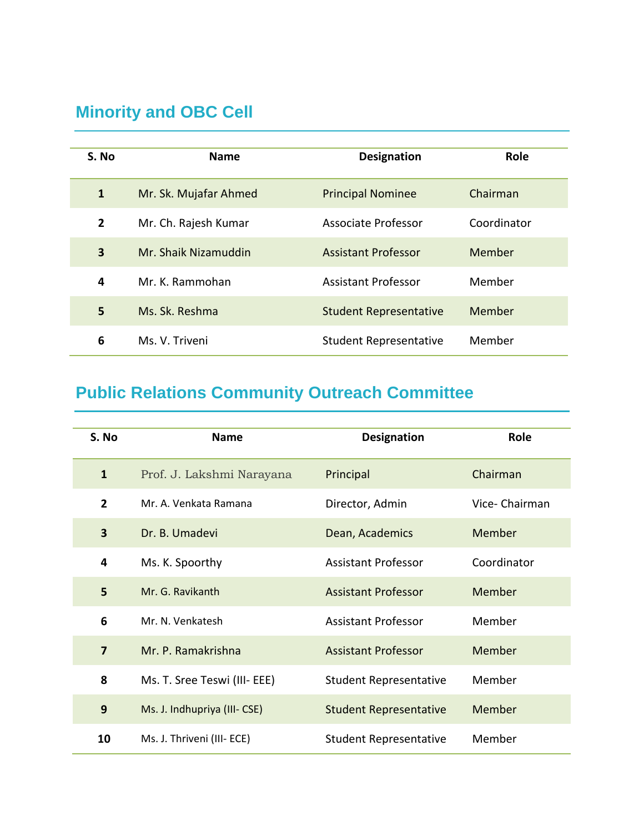## **Minority and OBC Cell**

| S. No          | <b>Name</b>           | <b>Designation</b>            | Role        |
|----------------|-----------------------|-------------------------------|-------------|
| $\mathbf{1}$   | Mr. Sk. Mujafar Ahmed | <b>Principal Nominee</b>      | Chairman    |
| $\overline{2}$ | Mr. Ch. Rajesh Kumar  | Associate Professor           | Coordinator |
| 3              | Mr. Shaik Nizamuddin  | <b>Assistant Professor</b>    | Member      |
| 4              | Mr. K. Rammohan       | <b>Assistant Professor</b>    | Member      |
| 5              | Ms. Sk. Reshma        | <b>Student Representative</b> | Member      |
| 6              | Ms. V. Triveni        | <b>Student Representative</b> | Member      |

# **Public Relations Community Outreach Committee**

| S. No          | <b>Name</b>                  | <b>Designation</b>            | Role          |
|----------------|------------------------------|-------------------------------|---------------|
| $\mathbf{1}$   | Prof. J. Lakshmi Narayana    | Principal                     | Chairman      |
| $\overline{2}$ | Mr. A. Venkata Ramana        | Director, Admin               | Vice-Chairman |
| 3              | Dr. B. Umadevi               | Dean, Academics               | Member        |
| 4              | Ms. K. Spoorthy              | <b>Assistant Professor</b>    | Coordinator   |
| 5              | Mr. G. Ravikanth             | <b>Assistant Professor</b>    | Member        |
| 6              | Mr. N. Venkatesh             | <b>Assistant Professor</b>    | Member        |
| $\overline{7}$ | Mr. P. Ramakrishna           | <b>Assistant Professor</b>    | Member        |
| 8              | Ms. T. Sree Teswi (III- EEE) | <b>Student Representative</b> | Member        |
| 9              | Ms. J. Indhupriya (III- CSE) | <b>Student Representative</b> | Member        |
| 10             | Ms. J. Thriveni (III- ECE)   | <b>Student Representative</b> | Member        |